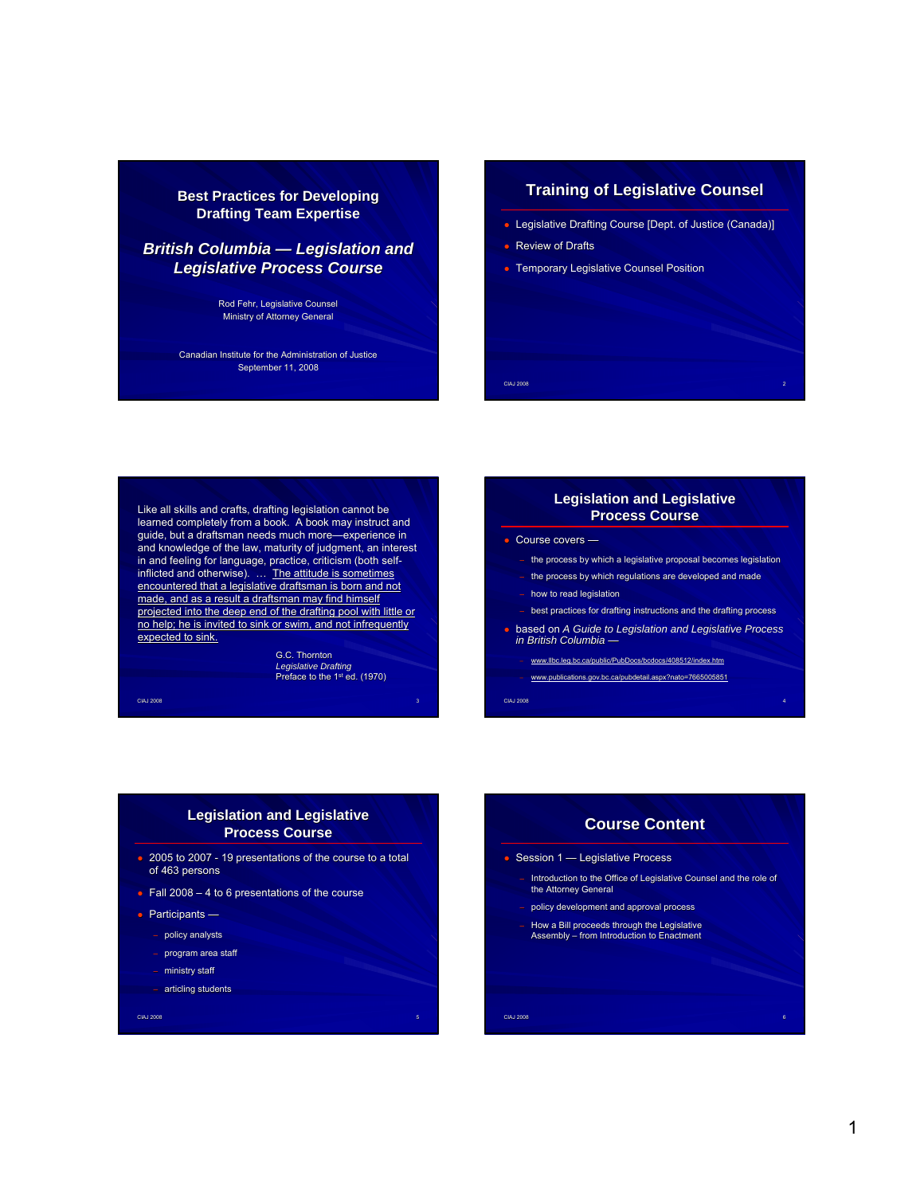### **Best Practices for Developing Drafting Team Expertise**

## **British Columbia — Legislation and** *Legislative Process Course*

Rod Fehr, Legislative Counsel Ministry of Attorney General

Canadian Institute for the Administration of Justice September 11, 2008

### **Training of Legislative Counsel Training of Legislative Counsel**

- Legislative Drafting Course [Dept. of Justice (Canada)]
- Review of Drafts
- **Temporary Legislative Counsel Position**

Like all skills and crafts, drafting legislation cannot be learned completely from a book. A book may instruct and guide, but a draftsman needs much more—experience in and knowledge of the law, maturity of judgment, an interest in and feeling for language, practice, criticism (both selfinflicted and otherwise). ... The attitude is sometimes encountered that a legislative draftsman is born and not made, and as a result a draftsman may find himself projected into the deep end of the drafting pool with little or no help; he is invited to sink or swim, and not infrequently expected to sink.

> G.C. Thornton *Legislative Drafting* Preface to the 1st ed. (1970)

CIAJ 2008 - SAN DE SAN DE SAN DE SAN DE SAN DE SAN DE SAN DE SAN DE SAN DE SAN DE SAN DE SAN DE SAN DE SAN DE

### **Legislation and Legislative Process Course**

CIAJ 2008 2

- Course covers
	- the process by which a legislative proposal becomes legislation
	- the process by which regulations are developed and made
	- how to read legislation – best practices for drafting instructions and the drafting process
- based on *A Guide to Legislation and Legislative Process in British Columbia* —

CIAJ 2008 4

- www.llbc.leg.bc.ca/public/PubDocs/bcdocs/408512/index.htm
- www.publications.gov.bc.ca/pubdetail.aspx?nato=7665005851

#### **Legislation and Legislative Process Course**

- 2005 to 2007 19 presentations of the course to a total of 463 persons
- $\bullet$  Fall 2008 4 to 6 presentations of the course
- Participants
	- policy analysts
	- program area staff
	- ministry staff
	- articling students

CIAJ 2008 **1990 - Participa de Castella de Castella de Castella de Castella de Castella de S** 

# CIAJ 2008 6 **Course Content Course Content** ● Session 1 — Legislative Process – Introduction to the Office of Legislative Counsel and the role of the Attorney General the Attorney General – policy development and approval process – How a Bill proceeds through the Legislative Assembly – from Introduction to Enactment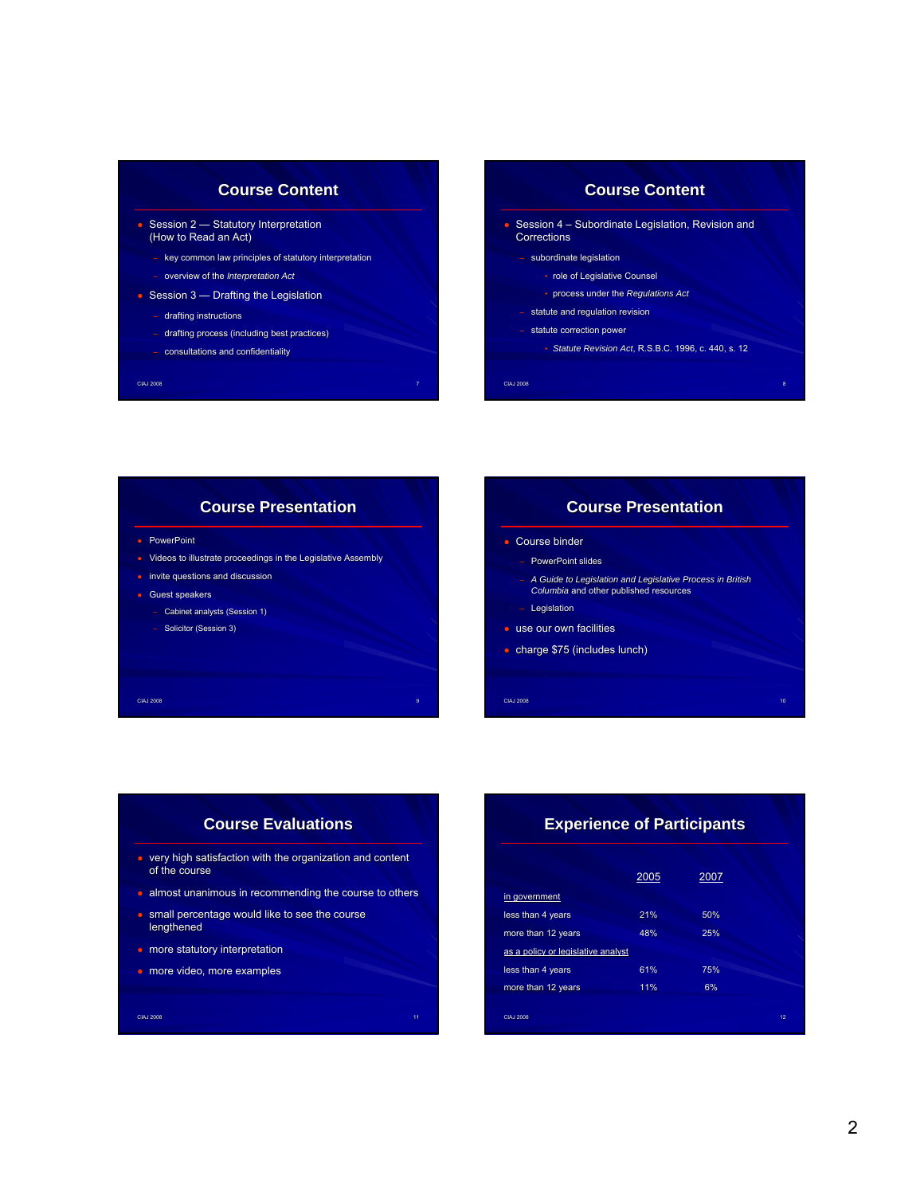## CIAJ 2008 **7 de agosto: A científico de Antigas de Antigas de Antigas de Antigas de Antigas de Antigas de Anti Course Content Course Content** • Session 2 – Statutory Interpretation (How to Read an Act) – key common law principles of statutory interpretation – overview of the *Interpretation Act*  $\bullet$  Session 3 — Drafting the Legislation – drafting instructions drafting process (including best practices) – consultations and confidentiality **Course Content Course Content Corrections** – subordinate legislation

# CIAJ 2008 8 Session 4 – Subordinate Legislation, Revision and • role of Legislative Counsel • process under the *Regulations Act* – statute and regulation revision – statute correction power • *Statute Revision Act*, R.S.B.C. 1996, c. 440, s. 12

# **Course Presentation** • PowerPoint ● Videos to illustrate proceedings in the Legislative Assembly

- invite questions and discussion
- Guest speakers
	- Cabinet analysts (Session 1)
	- Solicitor (Session 3)

# CIAJ 2008 **10. literatura de la contrada de la contrada de la co**ntrada de la contrada de la contrada de la contr – PowerPoint slides – *A Guide to Legislation and Legislative Process in British Columbia* and other published resources **Legislation •** use our own facilities ● charge \$75 (includes lunch)

**Course Presentation**

● Course binder

# **Course Evaluations** ● very high satisfaction with the organization and content of the course

CIAJ 2008 9

• almost unanimous in recommending the course to others

CIAJ 2008 11

- small percentage would like to see the course lengthened
- **•** more statutory interpretation
- more video, more examples

# CIAJ 2008 12 **Experience of Participants** 2005 2007 in government less than 4 years 21% 50% more than 12 years 48% 25% as a policy or legislative analyst less than 4 years 61% 75% more than 12 years 11% 11% 6%